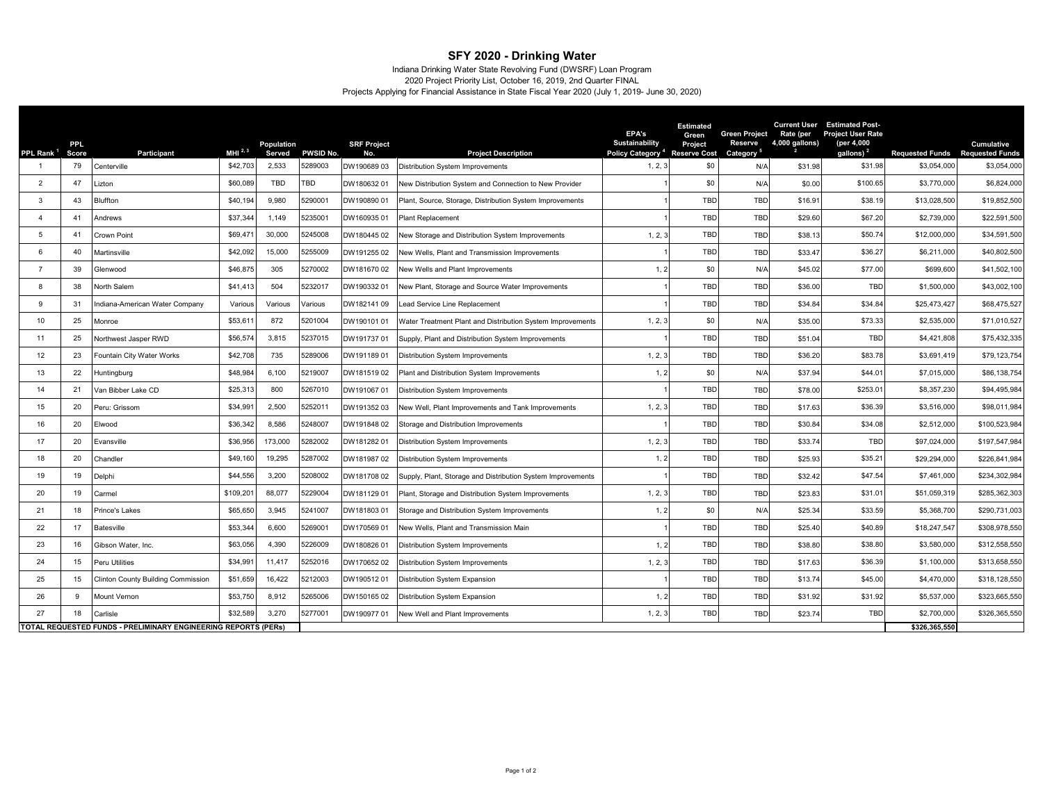## **SFY 2020 - Drinking Water**

## Projects Applying for Financial Assistance in State Fiscal Year 2020 (July 1, 2019- June 30, 2020) 2020 Project Priority List, October 16, 2019, 2nd Quarter FINAL Indiana Drinking Water State Revolving Fund (DWSRF) Loan Program

|                       | <b>PPL</b>                                                     |                                           |                    | Population |           | <b>SRF Project</b> |                                                             | EPA's<br>Sustainability                   | <b>Estimated</b><br>Green<br>Project | <b>Green Project</b><br><b>Reserve</b> | Rate (per<br>4,000 gallons) | <b>Current User Estimated Post-</b><br><b>Project User Rate</b><br>(per 4,000 |                                        | <b>Cumulative</b> |
|-----------------------|----------------------------------------------------------------|-------------------------------------------|--------------------|------------|-----------|--------------------|-------------------------------------------------------------|-------------------------------------------|--------------------------------------|----------------------------------------|-----------------------------|-------------------------------------------------------------------------------|----------------------------------------|-------------------|
| PPL Rank <sup>1</sup> | Score                                                          | <b>Participant</b>                        | MHI <sup>2,3</sup> | Served     | PWSID No. | No.                | <b>Project Description</b>                                  | Policy Category <sup>4</sup> Reserve Cost |                                      | Category                               |                             | gallons) <sup>2</sup>                                                         | <b>Requested Funds Requested Funds</b> |                   |
|                       | 79                                                             | Centerville                               | \$42,703           | 2,533      | 5289003   | DW190689 03        | <b>Distribution System Improvements</b>                     | 1, 2, 3                                   | \$0                                  | N/A                                    | \$31.98                     | \$31.98                                                                       | \$3,054,000                            | \$3,054,000       |
| $\overline{2}$        | 47                                                             | Lizton                                    | \$60,089           | <b>TBD</b> | TBD       | DW180632 01        | New Distribution System and Connection to New Provider      |                                           | \$0                                  | N/A                                    | \$0.00                      | \$100.65                                                                      | \$3,770,000                            | \$6,824,000       |
| 3                     | 43                                                             | <b>Bluffton</b>                           | \$40,194           | 9,980      | 529000    | DW190890 01        | Plant, Source, Storage, Distribution System Improvements    |                                           | <b>TBD</b>                           | <b>TBD</b>                             | \$16.9                      | \$38.19                                                                       | \$13,028,500                           | \$19,852,500      |
| $\overline{4}$        | 41                                                             | Andrews                                   | \$37,344           | 1,149      | 523500    | DW160935 01        | Plant Replacement                                           |                                           | TBD                                  | <b>TBD</b>                             | \$29.60                     | \$67.20                                                                       | \$2,739,000                            | \$22,591,500      |
| 5                     | 41                                                             | Crown Point                               | \$69,47            | 30,000     | 5245008   | DW180445 02        | New Storage and Distribution System Improvements            | 1, 2, 3                                   | TBD                                  | <b>TBD</b>                             | \$38.13                     | \$50.74                                                                       | \$12,000,000                           | \$34,591,500      |
| 6                     | 40                                                             | Martinsville                              | \$42,092           | 15,000     | 5255009   | DW191255 02        | New Wells, Plant and Transmission Improvements              |                                           | <b>TBD</b>                           | TBD                                    | \$33.4                      | \$36.27                                                                       | \$6,211,000                            | \$40,802,500      |
|                       | 39                                                             | Glenwood                                  | \$46,875           | 305        | 5270002   | DW181670 02        | New Wells and Plant Improvements                            | 1, 2                                      | \$0                                  | N/A                                    | \$45.02                     | \$77.00                                                                       | \$699,600                              | \$41,502,100      |
| 8                     | 38                                                             | North Salem                               | \$41,413           | 504        | 5232017   | DW190332 01        | New Plant, Storage and Source Water Improvements            |                                           | TBD                                  | TBD                                    | \$36.00                     | <b>TBD</b>                                                                    | \$1,500,000                            | \$43,002,100      |
| $\mathbf{Q}$          | 31                                                             | Indiana-American Water Company            | Various            | Various    | /arious   | DW182141 09        | ead Service Line Replacement                                |                                           | TBD                                  | <b>TBD</b>                             | \$34.84                     | \$34.84                                                                       | \$25,473,427                           | \$68,475,527      |
| 10                    | 25                                                             | Monroe                                    | \$53,61            | 872        | 5201004   | DW190101 01        | Water Treatment Plant and Distribution System Improvements  | 1, 2, 3                                   | \$0                                  | N/A                                    | \$35.00                     | \$73.33                                                                       | \$2,535,000                            | \$71,010,527      |
| 11                    | 25                                                             | Northwest Jasper RWD                      | \$56,57            | 3,815      | 5237015   | DW191737 01        | Supply, Plant and Distribution System Improvements          |                                           | TBD                                  | TBD                                    | \$51.04                     | <b>TBD</b>                                                                    | \$4,421,808                            | \$75,432,335      |
| 12                    | 23                                                             | Fountain City Water Works                 | \$42,708           | 735        | 5289006   | DW19118901         | Distribution System Improvements                            | 1, 2, 3                                   | TBD                                  | TBD                                    | \$36.20                     | \$83.78                                                                       | \$3,691,419                            | \$79,123,754      |
| 13                    | 22                                                             | Huntingburg                               | \$48,984           | 6,100      | 5219007   | DW181519 02        | Plant and Distribution System Improvements                  | 1, 2                                      | \$0                                  | N/A                                    | \$37.94                     | \$44.01                                                                       | \$7,015,000                            | \$86,138,754      |
| 14                    | 21                                                             | Van Bibber Lake CD                        | \$25,313           | 800        | 5267010   | DW191067 01        | Distribution System Improvements                            |                                           | <b>TBD</b>                           | TBD                                    | \$78.00                     | \$253.01                                                                      | \$8,357,230                            | \$94,495,984      |
| 15                    | 20                                                             | Peru: Grissom                             | \$34,99            | 2,500      | 5252011   | DW19135203         | New Well, Plant Improvements and Tank Improvements          | 1, 2, 3                                   | TBD                                  | TBD                                    | \$17.63                     | \$36.39                                                                       | \$3,516,000                            | \$98,011,984      |
| 16                    | 20                                                             | Elwood                                    | \$36,342           | 8,586      | 5248007   | DW191848 02        | Storage and Distribution Improvements                       |                                           | TBD                                  | <b>TBD</b>                             | \$30.84                     | \$34.08                                                                       | \$2,512,000                            | \$100,523,984     |
| 17                    | 20                                                             | Evansville                                | \$36,956           | 173,000    | 5282002   | DW18128201         | Distribution System Improvements                            | 1, 2, 3                                   | TBD                                  | TBD                                    | \$33.74                     | <b>TBD</b>                                                                    | \$97,024,000                           | \$197,547,984     |
| 18                    | 20                                                             | Chandler                                  | \$49,160           | 19,295     | 5287002   | DW18198702         | Distribution System Improvements                            | 1, 2                                      | TBD                                  | <b>TBD</b>                             | \$25.93                     | \$35.21                                                                       | \$29,294,000                           | \$226,841,984     |
| 19                    | 19                                                             | Delphi                                    | \$44,556           | 3.200      | 5208002   | DW181708 02        | Supply, Plant, Storage and Distribution System Improvements |                                           | <b>TBD</b>                           | <b>TBD</b>                             | \$32.42                     | \$47.54                                                                       | \$7,461,000                            | \$234,302,984     |
| 20                    | 19                                                             | Carmel                                    | \$109,20           | 88,077     | 5229004   | DW181129 01        | Plant, Storage and Distribution System Improvements         | 1, 2, 3                                   | TBD                                  | <b>TBD</b>                             | \$23.83                     | \$31.01                                                                       | \$51,059,319                           | \$285,362,303     |
| 21                    | 18                                                             | Prince's Lakes                            | \$65,650           | 3.945      | 5241007   | DW181803 01        | Storage and Distribution System Improvements                | 1, 2                                      | \$0                                  | N/A                                    | \$25.34                     | \$33.59                                                                       | \$5,368,700                            | \$290,731,003     |
| 22                    | 17                                                             | <b>Batesville</b>                         | \$53,34            | 6,600      | 5269001   | DW170569 01        | New Wells, Plant and Transmission Main                      |                                           | <b>TBD</b>                           | <b>TBD</b>                             | \$25.40                     | \$40.89                                                                       | \$18,247,547                           | \$308,978,550     |
| 23                    | 16                                                             | Gibson Water, Inc.                        | \$63,056           | 4,390      | 226009    | DW180826 01        | <b>Distribution System Improvements</b>                     | 1, 2                                      | TBD                                  | <b>TBD</b>                             | \$38.80                     | \$38.80                                                                       | \$3,580,000                            | \$312,558,550     |
| 24                    | 15                                                             | Peru Utilities                            | \$34,99            | 11,417     | 252016    | DW170652 02        | Distribution System Improvements                            | 1, 2, 3                                   | <b>TBD</b>                           | <b>TBD</b>                             | \$17.63                     | \$36.39                                                                       | \$1,100,000                            | \$313,658,550     |
| 25                    | 15                                                             | <b>Clinton County Building Commission</b> | \$51,659           | 16,422     | 5212003   | DW19051201         | Distribution System Expansion                               |                                           | <b>TBD</b>                           | <b>TBD</b>                             | \$13.74                     | \$45.00                                                                       | \$4,470,000                            | \$318,128,550     |
| 26                    | 9                                                              | Mount Vernon                              | \$53,750           | 8,912      | 5265006   | DW15016502         | Distribution System Expansion                               | 1, 2                                      | TBD                                  | TBD                                    | \$31.92                     | \$31.92                                                                       | \$5,537,000                            | \$323,665,550     |
| 27                    | 18                                                             | Carlisle                                  | \$32,58            | 3,270      | 5277001   | DW19097701         | New Well and Plant Improvements                             | 1, 2, 3                                   | TBD                                  | <b>TBD</b>                             | \$23.74                     | <b>TBD</b>                                                                    | \$2,700,000                            | \$326,365,550     |
|                       | TOTAL REQUESTED FUNDS - PRELIMINARY ENGINEERING REPORTS (PERS) |                                           |                    |            |           |                    |                                                             |                                           | \$326.365.550                        |                                        |                             |                                                                               |                                        |                   |